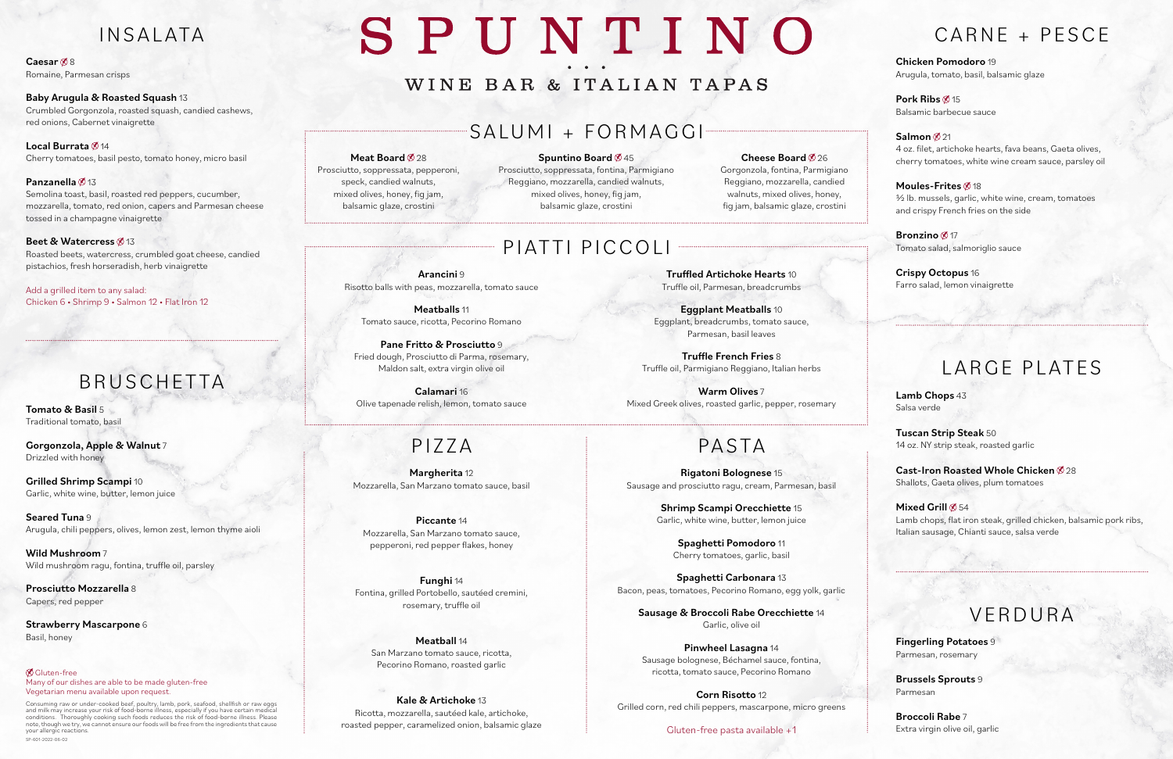### PIZZA

Margherita 12 Mozzarella, San Marzano tomato sauce, basil

Piccante 14 Mozzarella, San Marzano tomato sauce, pepperoni, red pepper flakes, honey

Meatball 14 San Marzano tomato sauce, ricotta, Pecorino Romano, roasted garlic

Funghi 14 Fontina, grilled Portobello, sautéed cremini, rosemary, truffle oil

#### Kale & Artichoke 13 Ricotta, mozzarella, sautéed kale, artichoke, roasted pepper, caramelized onion, balsamic glaze

### Cheese Board @ 26

 $\%$  Gluten-free Many of our dishes are able to be made gluten-free Vegetarian menu available upon request.

Caesar<sup>%8</sup> Romaine, Parmesan crisps

#### **Local Burrata**  $\otimes$  14 Cherry tomatoes, basil pesto, tomato honey, micro basil

### **Panzanella**  $\otimes$  13

Consuming raw or under-cooked beef, poultry, lamb, pork, seafood, shellfish or raw eggs and milk may increase your risk of food-borne illness, especially if you have certain medical conditions. Thoroughly cooking such foods reduces the risk of food-borne illness. Please note, though we try, we cannot ensure our foods will be free from the ingredients that cause your allergic reactions. SP-601-2022-06-02

# SPUNTINO

### WINE BAR & ITALIAN TAPAS

### INSALATA

Baby Arugula & Roasted Squash 13 Crumbled Gorgonzola, roasted squash, candied cashews, red onions, Cabernet vinaigrette

> Spuntino Board @45 Prosciutto, soppressata, fontina, Parmigiano Reggiano, mozzarella, candied walnuts, mixed olives, honey, fig jam, balsamic glaze, crostini

Meatballs 11 Tomato sauce, ricotta, Pecorino Romano

Semolina toast, basil, roasted red peppers, cucumber, mozzarella, tomato, red onion, capers and Parmesan cheese tossed in a champagne vinaigrette

#### Beet & Watercress Ø13

Roasted beets, watercress, crumbled goat cheese, candied pistachios, fresh horseradish, herb vinaigrette

Add a grilled item to any salad: Chicken 6 • Shrimp 9 • Salmon 12 • Flat Iron 12 Pork Ribs  $\otimes$  15 Balsamic barbecue sauce

### Salmon @21

# BRUSCHETTA

Tomato & Basil 5 Traditional tomato, basil

Gorgonzola, Apple & Walnut 7 Drizzled with honey

Bronzino **17** Tomato salad, salmoriglio sauce

Grilled Shrimp Scampi 10 Garlic, white wine, butter, lemon juice

Seared Tuna 9 Arugula, chili peppers, olives, lemon zest, lemon thyme aioli Cast-Iron Roasted Whole Chicken @28 Shallots, Gaeta olives, plum tomatoes

#### Mixed Grill @ 54

Wild Mushroom 7 Wild mushroom ragu, fontina, truffle oil, parsley

Prosciutto Mozzarella 8 Capers, red pepper

Strawberry Mascarpone 6 Basil, honey

# SALUMI + FORMAGGI

Meat Board @28

Prosciutto, soppressata, pepperoni, speck, candied walnuts, mixed olives, honey, fig jam, balsamic glaze, crostini

Gorgonzola, fontina, Parmigiano Reggiano, mozzarella, candied walnuts, mixed olives, honey, fig jam, balsamic glaze, crostini

Arancini 9 Risotto balls with peas, mozzarella, tomato sauce

Pane Fritto & Prosciutto 9 Fried dough, Prosciutto di Parma, rosemary, Maldon salt, extra virgin olive oil

Calamari 16 Olive tapenade relish, lemon, tomato sauce

Truffled Artichoke Hearts 10 Truffle oil, Parmesan, breadcrumbs

Eggplant Meatballs 10 Eggplant, breadcrumbs, tomato sauce, Parmesan, basil leaves

Truffle French Fries 8 Truffle oil, Parmigiano Reggiano, Italian herbs

Warm Olives 7 Mixed Greek olives, roasted garlic, pepper, rosemary

### PIATTI PICCOLI

### CARNE + PESCE

Chicken Pomodoro 19 Arugula, tomato, basil, balsamic glaze

4 oz. filet, artichoke hearts, fava beans, Gaeta olives, cherry tomatoes, white wine cream sauce, parsley oil

#### Moules-Frites  $$18$

½ lb. mussels, garlic, white wine, cream, tomatoes and crispy French fries on the side

#### Crispy Octopus 16 Farro salad, lemon vinaigrette

## LARGE PLATES

Lamb Chops 43 Salsa verde

Tuscan Strip Steak 50 14 oz. NY strip steak, roasted garlic

Lamb chops, flat iron steak, grilled chicken, balsamic pork ribs, Italian sausage, Chianti sauce, salsa verde

### VERDURA

Fingerling Potatoes 9 Parmesan, rosemary

Brussels Sprouts 9 Parmesan

Broccoli Rabe 7 Extra virgin olive oil, garlic

# PASTA

Rigatoni Bolognese 15 Sausage and prosciutto ragu, cream, Parmesan, basil

> Shrimp Scampi Orecchiette 15 Garlic, white wine, butter, lemon juice

> > Spaghetti Pomodoro 11 Cherry tomatoes, garlic, basil

Spaghetti Carbonara 13 Bacon, peas, tomatoes, Pecorino Romano, egg yolk, garlic

Sausage & Broccoli Rabe Orecchiette 14 Garlic, olive oil

Pinwheel Lasagna 14 Sausage bolognese, Béchamel sauce, fontina, ricotta, tomato sauce, Pecorino Romano

Corn Risotto 12 Grilled corn, red chili peppers, mascarpone, micro greens

Gluten-free pasta available +1